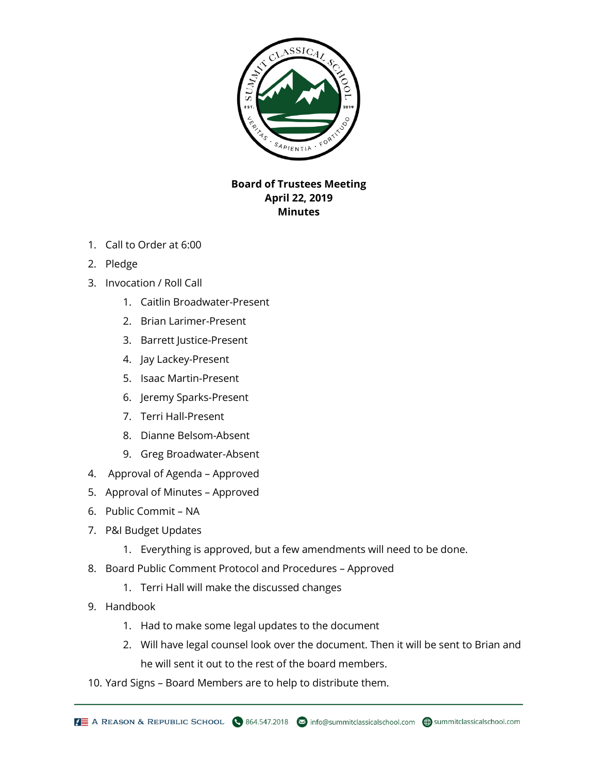

## **Board of Trustees Meeting April 22, 2019 Minutes**

- 1. Call to Order at 6:00
- 2. Pledge
- 3. Invocation / Roll Call
	- 1. Caitlin Broadwater-Present
	- 2. Brian Larimer-Present
	- 3. Barrett Justice-Present
	- 4. Jay Lackey-Present
	- 5. Isaac Martin-Present
	- 6. Jeremy Sparks-Present
	- 7. Terri Hall-Present
	- 8. Dianne Belsom-Absent
	- 9. Greg Broadwater-Absent
- 4. Approval of Agenda Approved
- 5. Approval of Minutes Approved
- 6. Public Commit NA
- 7. P&I Budget Updates
	- 1. Everything is approved, but a few amendments will need to be done.
- 8. Board Public Comment Protocol and Procedures Approved
	- 1. Terri Hall will make the discussed changes
- 9. Handbook
	- 1. Had to make some legal updates to the document
	- 2. Will have legal counsel look over the document. Then it will be sent to Brian and he will sent it out to the rest of the board members.
- 10. Yard Signs Board Members are to help to distribute them.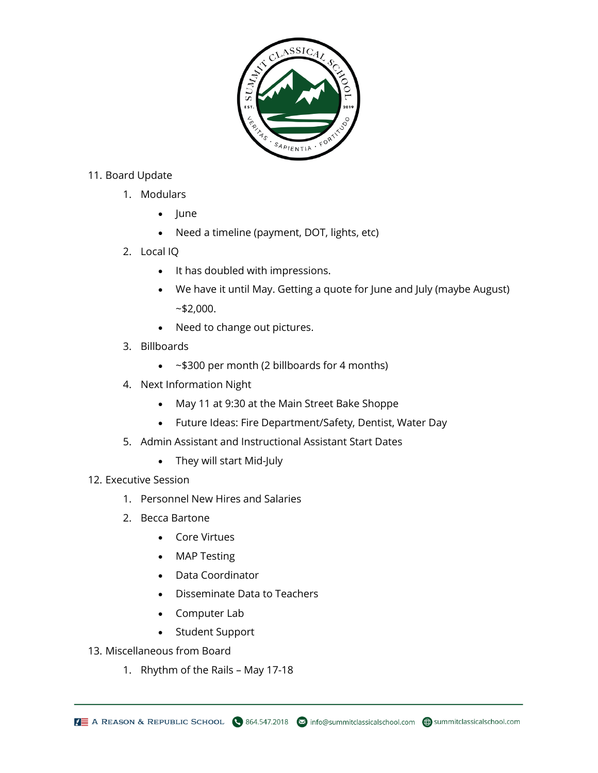

## 11. Board Update

- 1. Modulars
	- June
	- Need a timeline (payment, DOT, lights, etc)
- 2. Local IQ
	- It has doubled with impressions.
	- We have it until May. Getting a quote for June and July (maybe August)  $~52,000.$
	- Need to change out pictures.
- 3. Billboards
	- ~\$300 per month (2 billboards for 4 months)
- 4. Next Information Night
	- May 11 at 9:30 at the Main Street Bake Shoppe
	- Future Ideas: Fire Department/Safety, Dentist, Water Day
- 5. Admin Assistant and Instructional Assistant Start Dates
	- They will start Mid-July

## 12. Executive Session

- 1. Personnel New Hires and Salaries
- 2. Becca Bartone
	- Core Virtues
	- MAP Testing
	- Data Coordinator
	- Disseminate Data to Teachers
	- Computer Lab
	- Student Support
- 13. Miscellaneous from Board
	- 1. Rhythm of the Rails May 17-18